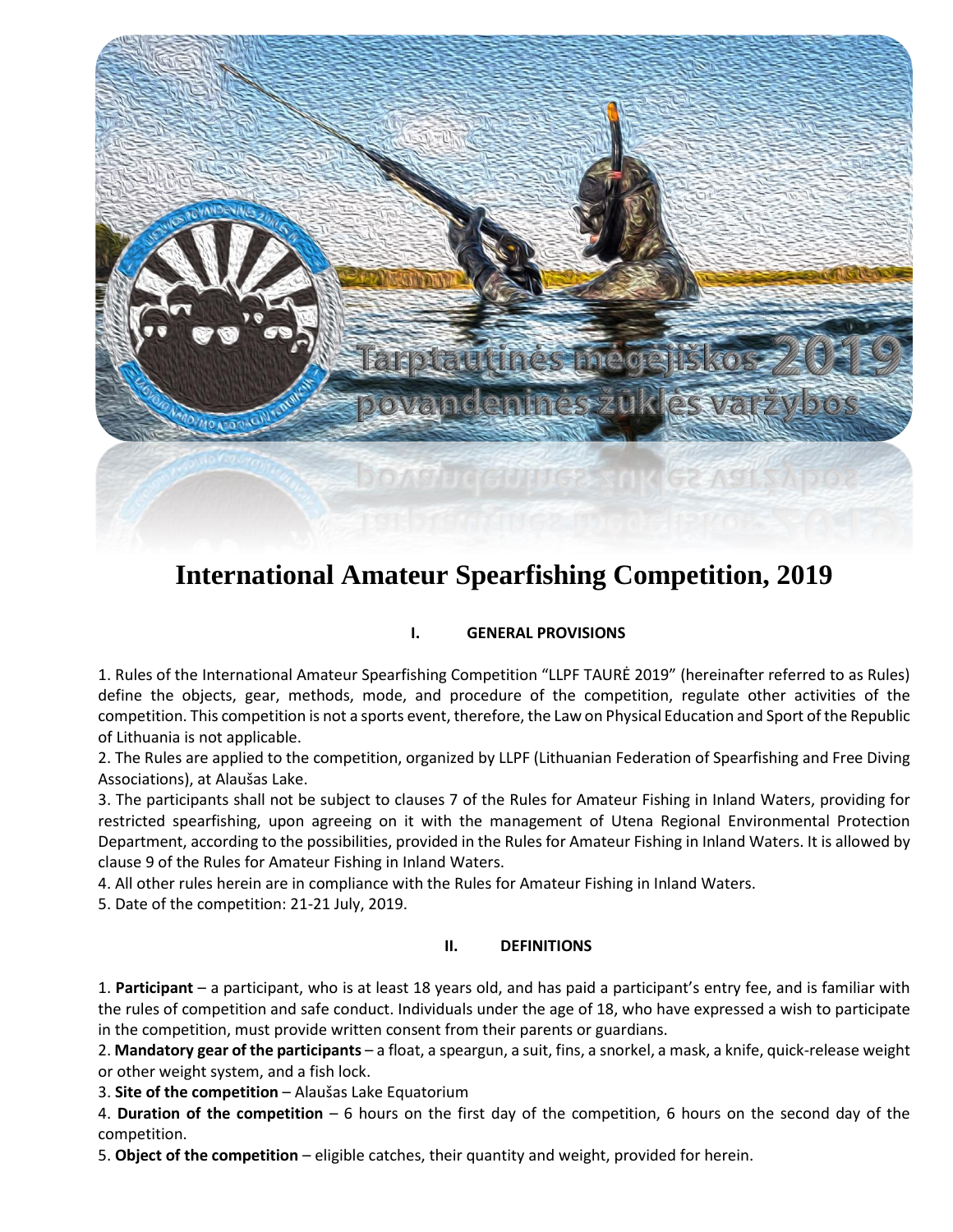

# **International Amateur Spearfishing Competition, 2019**

## **I. GENERAL PROVISIONS**

1. Rules of the International Amateur Spearfishing Competition "LLPF TAURĖ 2019" (hereinafter referred to as Rules) define the objects, gear, methods, mode, and procedure of the competition, regulate other activities of the competition. This competition is not a sports event, therefore, the Law on Physical Education and Sport of the Republic of Lithuania is not applicable.

2. The Rules are applied to the competition, organized by LLPF (Lithuanian Federation of Spearfishing and Free Diving Associations), at Alaušas Lake.

3. The participants shall not be subject to clauses 7 of the Rules for Amateur Fishing in Inland Waters, providing for restricted spearfishing, upon agreeing on it with the management of Utena Regional Environmental Protection Department, according to the possibilities, provided in the Rules for Amateur Fishing in Inland Waters. It is allowed by clause 9 of the Rules for Amateur Fishing in Inland Waters.

4. All other rules herein are in compliance with the Rules for Amateur Fishing in Inland Waters.

5. Date of the competition: 21-21 July, 2019.

## **II. DEFINITIONS**

1. **Participant** – a participant, who is at least 18 years old, and has paid a participant's entry fee, and is familiar with the rules of competition and safe conduct. Individuals under the age of 18, who have expressed a wish to participate in the competition, must provide written consent from their parents or guardians.

2. **Mandatory gear of the participants** – a float, a speargun, a suit, fins, a snorkel, a mask, a knife, quick-release weight or other weight system, and a fish lock.

3. **Site of the competition** – Alaušas Lake Equatorium

4. **Duration of the competition** – 6 hours on the first day of the competition, 6 hours on the second day of the competition.

5. **Object of the competition** – eligible catches, their quantity and weight, provided for herein.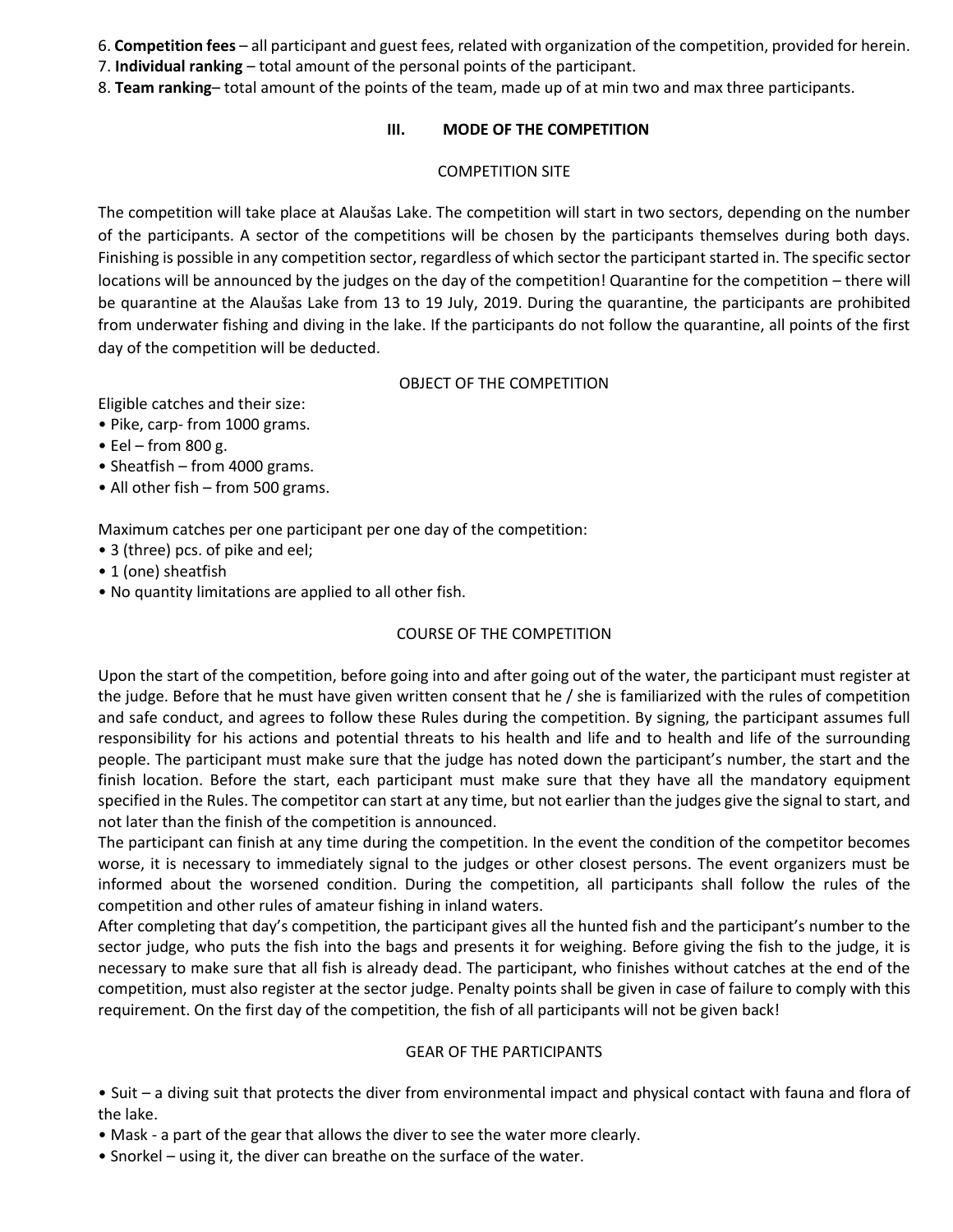6. **Competition fees** – all participant and guest fees, related with organization of the competition, provided for herein.

- 7. **Individual ranking**  total amount of the personal points of the participant.
- 8. **Team ranking** total amount of the points of the team, made up of at min two and max three participants.

## **III. MODE OF THE COMPETITION**

## COMPETITION SITE

The competition will take place at Alaušas Lake. The competition will start in two sectors, depending on the number of the participants. A sector of the competitions will be chosen by the participants themselves during both days. Finishing is possible in any competition sector, regardless of which sector the participant started in. The specific sector locations will be announced by the judges on the day of the competition! Quarantine for the competition – there will be quarantine at the Alaušas Lake from 13 to 19 July, 2019. During the quarantine, the participants are prohibited from underwater fishing and diving in the lake. If the participants do not follow the quarantine, all points of the first day of the competition will be deducted.

## OBJECT OF THE COMPETITION

Eligible catches and their size:

- Pike, carp- from 1000 grams.
- Eel from 800 g.
- Sheatfish from 4000 grams.
- All other fish from 500 grams.

Maximum catches per one participant per one day of the competition:

- 3 (three) pcs. of pike and eel;
- 1 (one) sheatfish
- No quantity limitations are applied to all other fish.

## COURSE OF THE COMPETITION

Upon the start of the competition, before going into and after going out of the water, the participant must register at the judge. Before that he must have given written consent that he / she is familiarized with the rules of competition and safe conduct, and agrees to follow these Rules during the competition. By signing, the participant assumes full responsibility for his actions and potential threats to his health and life and to health and life of the surrounding people. The participant must make sure that the judge has noted down the participant's number, the start and the finish location. Before the start, each participant must make sure that they have all the mandatory equipment specified in the Rules. The competitor can start at any time, but not earlier than the judges give the signal to start, and not later than the finish of the competition is announced.

The participant can finish at any time during the competition. In the event the condition of the competitor becomes worse, it is necessary to immediately signal to the judges or other closest persons. The event organizers must be informed about the worsened condition. During the competition, all participants shall follow the rules of the competition and other rules of amateur fishing in inland waters.

After completing that day's competition, the participant gives all the hunted fish and the participant's number to the sector judge, who puts the fish into the bags and presents it for weighing. Before giving the fish to the judge, it is necessary to make sure that all fish is already dead. The participant, who finishes without catches at the end of the competition, must also register at the sector judge. Penalty points shall be given in case of failure to comply with this requirement. On the first day of the competition, the fish of all participants will not be given back!

## GEAR OF THE PARTICIPANTS

• Suit – a diving suit that protects the diver from environmental impact and physical contact with fauna and flora of the lake.

- Mask a part of the gear that allows the diver to see the water more clearly.
- Snorkel using it, the diver can breathe on the surface of the water.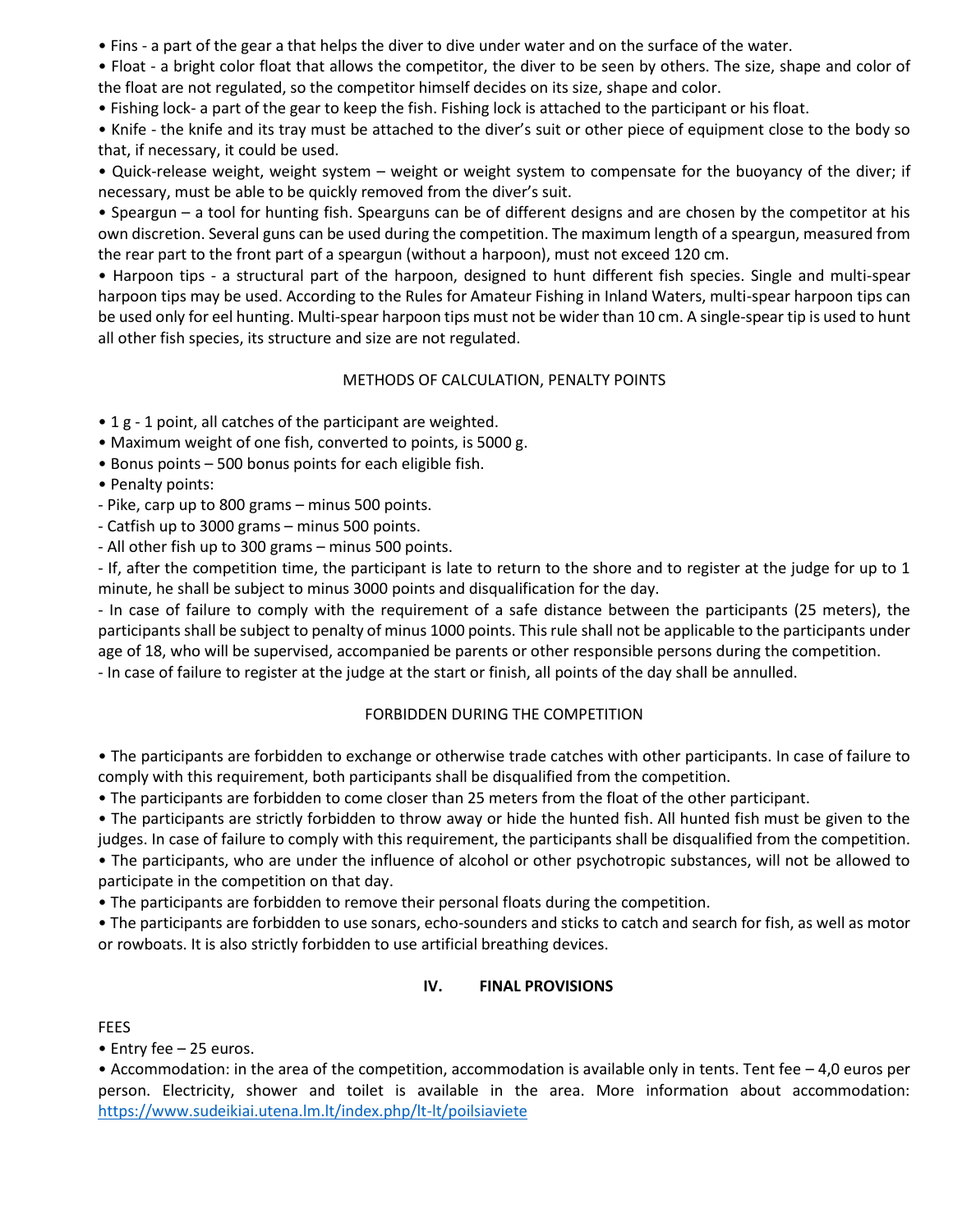• Fins - a part of the gear a that helps the diver to dive under water and on the surface of the water.

• Float - a bright color float that allows the competitor, the diver to be seen by others. The size, shape and color of the float are not regulated, so the competitor himself decides on its size, shape and color.

• Fishing lock- a part of the gear to keep the fish. Fishing lock is attached to the participant or his float.

• Knife - the knife and its tray must be attached to the diver's suit or other piece of equipment close to the body so that, if necessary, it could be used.

• Quick-release weight, weight system – weight or weight system to compensate for the buoyancy of the diver; if necessary, must be able to be quickly removed from the diver's suit.

• Speargun – a tool for hunting fish. Spearguns can be of different designs and are chosen by the competitor at his own discretion. Several guns can be used during the competition. The maximum length of a speargun, measured from the rear part to the front part of a speargun (without a harpoon), must not exceed 120 cm.

• Harpoon tips - a structural part of the harpoon, designed to hunt different fish species. Single and multi-spear harpoon tips may be used. According to the Rules for Amateur Fishing in Inland Waters, multi-spear harpoon tips can be used only for eel hunting. Multi-spear harpoon tips must not be wider than 10 cm. A single-spear tip is used to hunt all other fish species, its structure and size are not regulated.

## METHODS OF CALCULATION, PENALTY POINTS

- 1 g 1 point, all catches of the participant are weighted.
- Maximum weight of one fish, converted to points, is 5000 g.
- Bonus points 500 bonus points for each eligible fish.
- Penalty points:
- Pike, carp up to 800 grams minus 500 points.
- Catfish up to 3000 grams minus 500 points.
- All other fish up to 300 grams minus 500 points.

- If, after the competition time, the participant is late to return to the shore and to register at the judge for up to 1 minute, he shall be subject to minus 3000 points and disqualification for the day.

- In case of failure to comply with the requirement of a safe distance between the participants (25 meters), the participants shall be subject to penalty of minus 1000 points. This rule shall not be applicable to the participants under age of 18, who will be supervised, accompanied be parents or other responsible persons during the competition.

- In case of failure to register at the judge at the start or finish, all points of the day shall be annulled.

## FORBIDDEN DURING THE COMPETITION

• The participants are forbidden to exchange or otherwise trade catches with other participants. In case of failure to comply with this requirement, both participants shall be disqualified from the competition.

• The participants are forbidden to come closer than 25 meters from the float of the other participant.

• The participants are strictly forbidden to throw away or hide the hunted fish. All hunted fish must be given to the

judges. In case of failure to comply with this requirement, the participants shall be disqualified from the competition. • The participants, who are under the influence of alcohol or other psychotropic substances, will not be allowed to participate in the competition on that day.

• The participants are forbidden to remove their personal floats during the competition.

• The participants are forbidden to use sonars, echo-sounders and sticks to catch and search for fish, as well as motor or rowboats. It is also strictly forbidden to use artificial breathing devices.

## **IV. FINAL PROVISIONS**

FEES

• Entry fee – 25 euros.

• Accommodation: in the area of the competition, accommodation is available only in tents. Tent fee – 4,0 euros per person. Electricity, shower and toilet is available in the area. More information about accommodation: <https://www.sudeikiai.utena.lm.lt/index.php/lt-lt/poilsiaviete>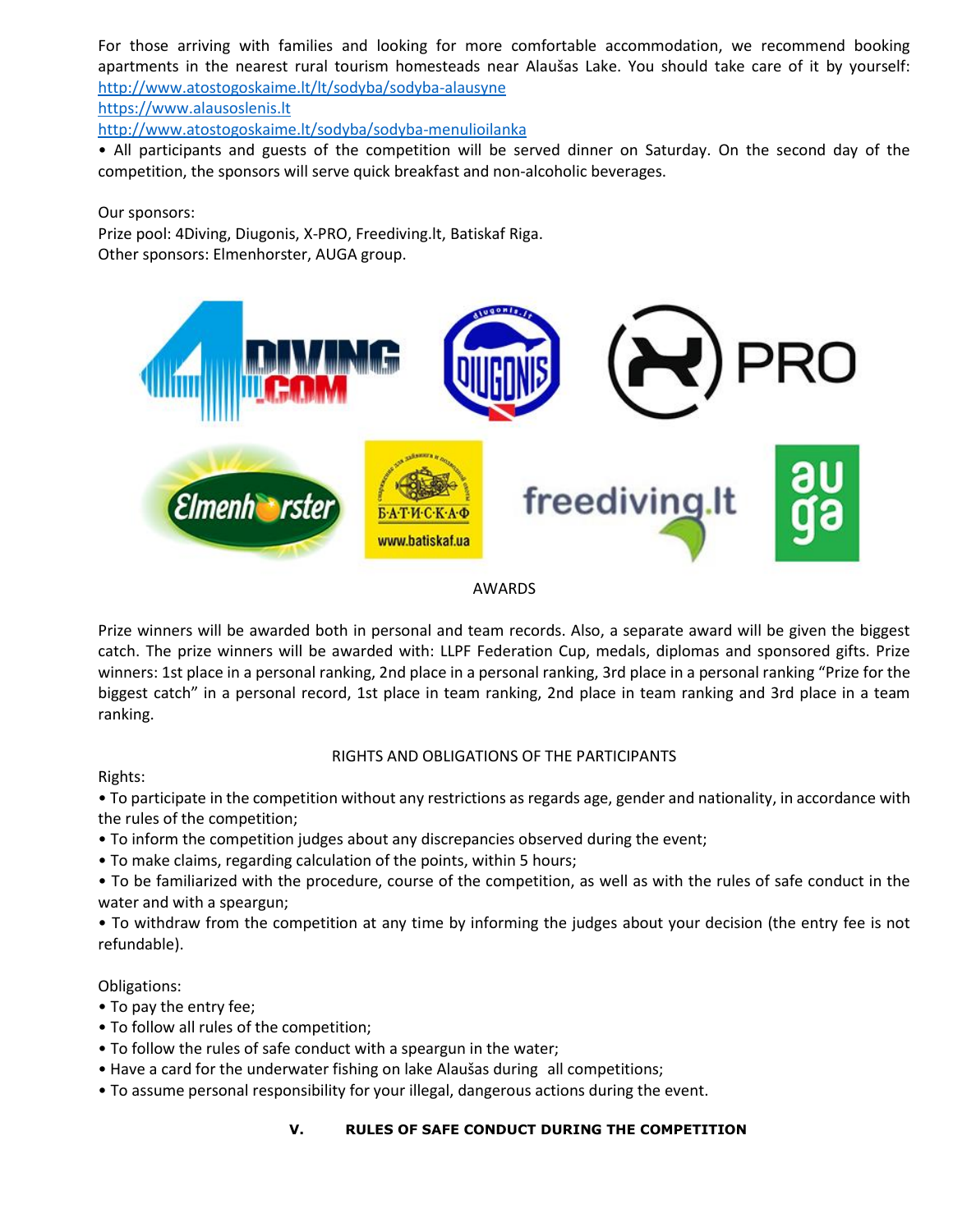For those arriving with families and looking for more comfortable accommodation, we recommend booking apartments in the nearest rural tourism homesteads near Alaušas Lake. You should take care of it by yourself: <http://www.atostogoskaime.lt/lt/sodyba/sodyba-alausyne>

[https://www.alausoslenis.lt](https://www.alausoslenis.lt/)

<http://www.atostogoskaime.lt/sodyba/sodyba-menulioilanka>

• All participants and guests of the competition will be served dinner on Saturday. On the second day of the competition, the sponsors will serve quick breakfast and non-alcoholic beverages.

Our sponsors:

Prize pool: 4Diving, Diugonis, X-PRO, Freediving.lt, Batiskaf Riga. Other sponsors: Elmenhorster, AUGA group.



#### AWARDS

Prize winners will be awarded both in personal and team records. Also, a separate award will be given the biggest catch. The prize winners will be awarded with: LLPF Federation Cup, medals, diplomas and sponsored gifts. Prize winners: 1st place in a personal ranking, 2nd place in a personal ranking, 3rd place in a personal ranking "Prize for the biggest catch" in a personal record, 1st place in team ranking, 2nd place in team ranking and 3rd place in a team ranking.

## RIGHTS AND OBLIGATIONS OF THE PARTICIPANTS

Rights:

• To participate in the competition without any restrictions as regards age, gender and nationality, in accordance with the rules of the competition;

• To inform the competition judges about any discrepancies observed during the event;

• To make claims, regarding calculation of the points, within 5 hours;

• To be familiarized with the procedure, course of the competition, as well as with the rules of safe conduct in the water and with a speargun;

• To withdraw from the competition at any time by informing the judges about your decision (the entry fee is not refundable).

## Obligations:

- To pay the entry fee;
- To follow all rules of the competition;
- To follow the rules of safe conduct with a speargun in the water;
- Have a card for the underwater fishing on lake Alaušas during all competitions;
- To assume personal responsibility for your illegal, dangerous actions during the event.

## **V. RULES OF SAFE CONDUCT DURING THE COMPETITION**